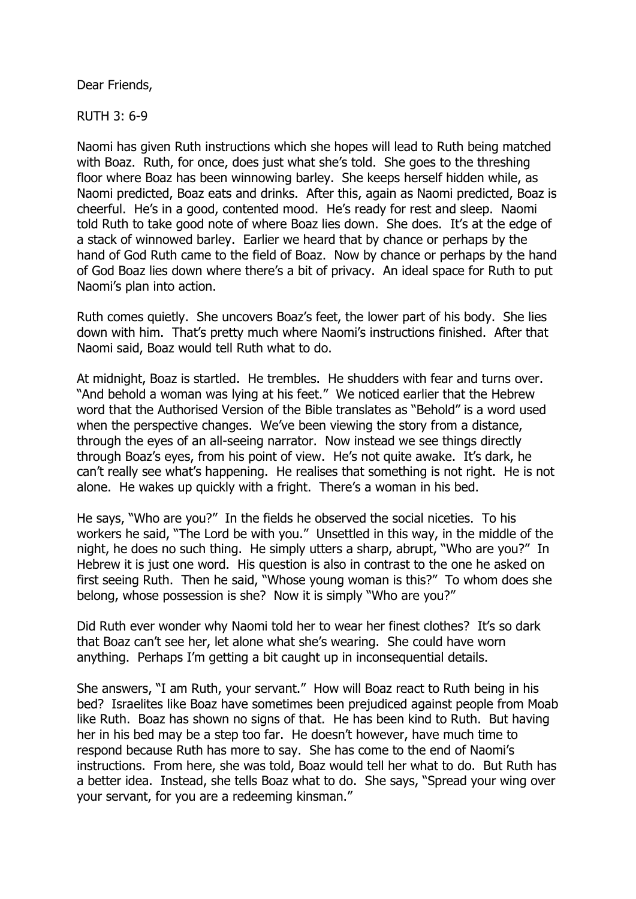Dear Friends,

RUTH 3: 6-9

Naomi has given Ruth instructions which she hopes will lead to Ruth being matched with Boaz. Ruth, for once, does just what she's told. She goes to the threshing floor where Boaz has been winnowing barley. She keeps herself hidden while, as Naomi predicted, Boaz eats and drinks. After this, again as Naomi predicted, Boaz is cheerful. He's in a good, contented mood. He's ready for rest and sleep. Naomi told Ruth to take good note of where Boaz lies down. She does. It's at the edge of a stack of winnowed barley. Earlier we heard that by chance or perhaps by the hand of God Ruth came to the field of Boaz. Now by chance or perhaps by the hand of God Boaz lies down where there's a bit of privacy. An ideal space for Ruth to put Naomi's plan into action.

Ruth comes quietly. She uncovers Boaz's feet, the lower part of his body. She lies down with him. That's pretty much where Naomi's instructions finished. After that Naomi said, Boaz would tell Ruth what to do.

At midnight, Boaz is startled. He trembles. He shudders with fear and turns over. "And behold a woman was lying at his feet." We noticed earlier that the Hebrew word that the Authorised Version of the Bible translates as "Behold" is a word used when the perspective changes. We've been viewing the story from a distance, through the eyes of an all-seeing narrator. Now instead we see things directly through Boaz's eyes, from his point of view. He's not quite awake. It's dark, he can't really see what's happening. He realises that something is not right. He is not alone. He wakes up quickly with a fright. There's a woman in his bed.

He says, "Who are you?" In the fields he observed the social niceties. To his workers he said, "The Lord be with you." Unsettled in this way, in the middle of the night, he does no such thing. He simply utters a sharp, abrupt, "Who are you?" In Hebrew it is just one word. His question is also in contrast to the one he asked on first seeing Ruth. Then he said, "Whose young woman is this?" To whom does she belong, whose possession is she? Now it is simply "Who are you?"

Did Ruth ever wonder why Naomi told her to wear her finest clothes? It's so dark that Boaz can't see her, let alone what she's wearing. She could have worn anything. Perhaps I'm getting a bit caught up in inconsequential details.

She answers, "I am Ruth, your servant." How will Boaz react to Ruth being in his bed? Israelites like Boaz have sometimes been prejudiced against people from Moab like Ruth. Boaz has shown no signs of that. He has been kind to Ruth. But having her in his bed may be a step too far. He doesn't however, have much time to respond because Ruth has more to say. She has come to the end of Naomi's instructions. From here, she was told, Boaz would tell her what to do. But Ruth has a better idea. Instead, she tells Boaz what to do. She says, "Spread your wing over your servant, for you are a redeeming kinsman."